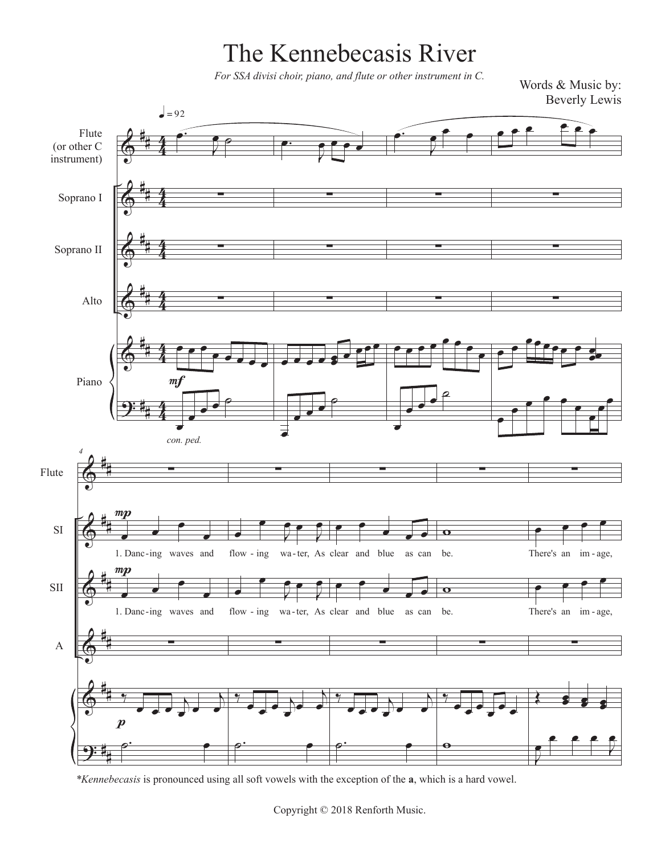## The Kennebecasis River

*For SSA divisi choir, piano, and flute or other instrument in C.*

Words & Music by: Beverly Lewis



*\*Kennebecasis* is pronounced using all soft vowels with the exception of the **a**, which is a hard vowel.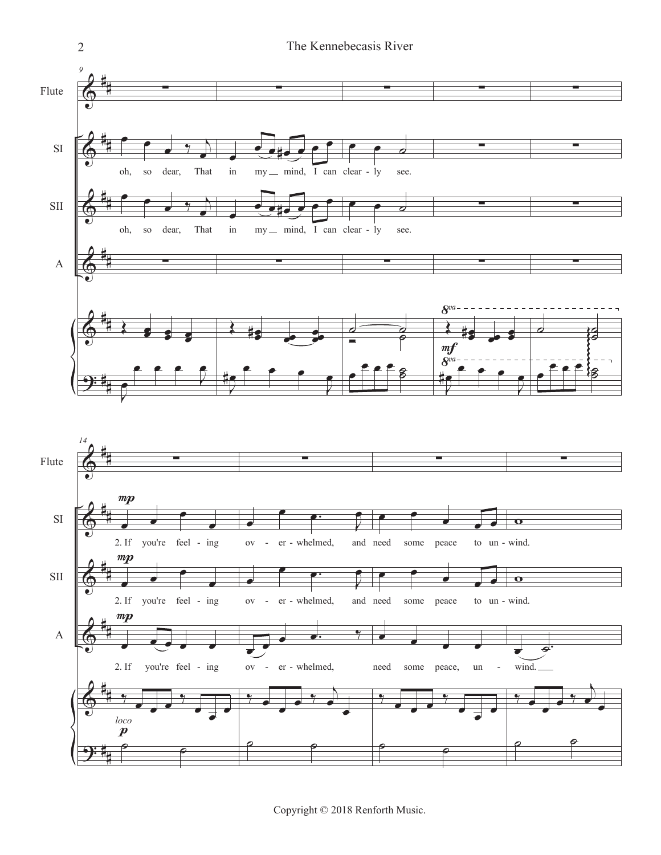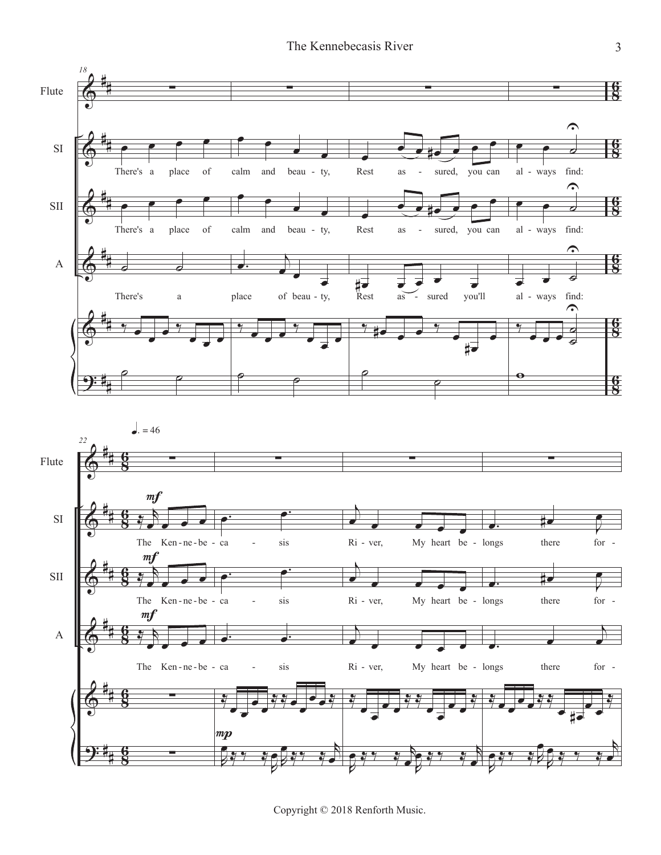